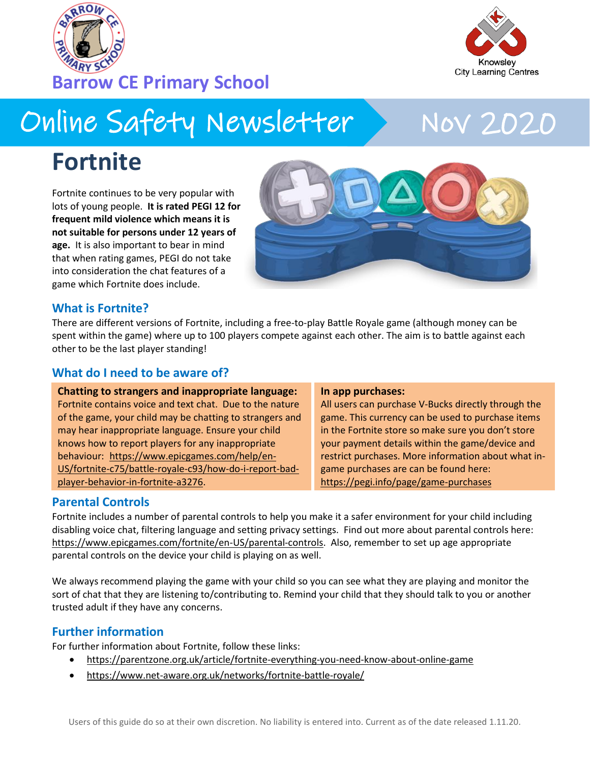



Nov 2020

# Online Safety Newsletter

# **Fortnite**

Fortnite continues to be very popular with lots of young people. **It is rated PEGI 12 for frequent mild violence which means it is not suitable for persons under 12 years of age.** It is also important to bear in mind that when rating games, PEGI do not take into consideration the chat features of a game which Fortnite does include.



### **What is Fortnite?**

There are different versions of Fortnite, including a free-to-play Battle Royale game (although money can be spent within the game) where up to 100 players compete against each other. The aim is to battle against each other to be the last player standing!

### **What do I need to be aware of?**

**Chatting to strangers and inappropriate language:** Fortnite contains voice and text chat. Due to the nature of the game, your child may be chatting to strangers and may hear inappropriate language. Ensure your child knows how to report players for any inappropriate behaviour: [https://www.epicgames.com/help/en-](https://www.epicgames.com/help/en-US/fortnite-c75/battle-royale-c93/how-do-i-report-bad-player-behavior-in-fortnite-a3276)[US/fortnite-c75/battle-royale-c93/how-do-i-report-bad](https://www.epicgames.com/help/en-US/fortnite-c75/battle-royale-c93/how-do-i-report-bad-player-behavior-in-fortnite-a3276)[player-behavior-in-fortnite-a3276.](https://www.epicgames.com/help/en-US/fortnite-c75/battle-royale-c93/how-do-i-report-bad-player-behavior-in-fortnite-a3276)

#### **In app purchases:**

All users can purchase V-Bucks directly through the game. This currency can be used to purchase items in the Fortnite store so make sure you don't store your payment details within the game/device and restrict purchases. More information about what ingame purchases are can be found here: <https://pegi.info/page/game-purchases>

### **Parental Controls**

Fortnite includes a number of parental controls to help you make it a safer environment for your child including disabling voice chat, filtering language and setting privacy settings. Find out more about parental controls here: [https://www.epicgames.com/fortnite/en-US/parental-controls.](https://www.epicgames.com/fortnite/en-US/parental-controls) Also, remember to set up age appropriate parental controls on the device your child is playing on as well.

We always recommend playing the game with your child so you can see what they are playing and monitor the sort of chat that they are listening to/contributing to. Remind your child that they should talk to you or another trusted adult if they have any concerns.

## **Further information**

For further information about Fortnite, follow these links:

- <https://parentzone.org.uk/article/fortnite-everything-you-need-know-about-online-game>
- <https://www.net-aware.org.uk/networks/fortnite-battle-royale/>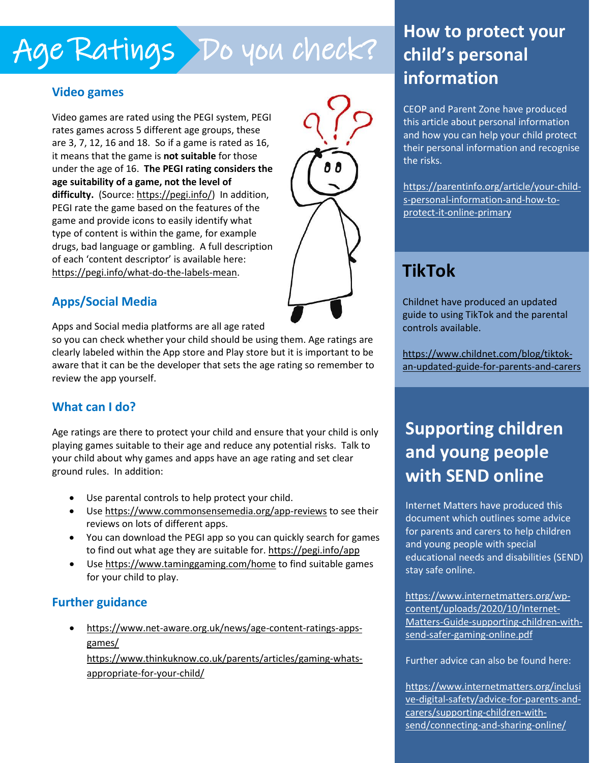# Age Ratings Do you check?

## **Video games**

Video games are rated using the PEGI system, PEGI rates games across 5 different age groups, these are 3, 7, 12, 16 and 18. So if a game is rated as 16, it means that the game is **not suitable** for those under the age of 16. **The PEGI rating considers the age suitability of a game, not the level of difficulty.** (Source: [https://pegi.info/\)](https://pegi.info/) In addition, PEGI rate the game based on the features of the game and provide icons to easily identify what type of content is within the game, for example drugs, bad language or gambling. A full description of each 'content descriptor' is available here: [https://pegi.info/what-do-the-labels-mean.](https://pegi.info/what-do-the-labels-mean)



# **Apps/Social Media**

Apps and Social media platforms are all age rated

so you can check whether your child should be using them. Age ratings are clearly labeled within the App store and Play store but it is important to be aware that it can be the developer that sets the age rating so remember to review the app yourself.

# **What can I do?**

Age ratings are there to protect your child and ensure that your child is only playing games suitable to their age and reduce any potential risks. Talk to your child about why games and apps have an age rating and set clear ground rules. In addition:

- Use parental controls to help protect your child.
- Use<https://www.commonsensemedia.org/app-reviews> to see their reviews on lots of different apps.
- You can download the PEGI app so you can quickly search for games to find out what age they are suitable for. https://pegi.info/app
- Use<https://www.taminggaming.com/home> to find suitable games for your child to play.

# **Further guidance**

• [https://www.net-aware.org.uk/news/age-content-ratings-apps](https://www.net-aware.org.uk/news/age-content-ratings-apps-games/)[games/](https://www.net-aware.org.uk/news/age-content-ratings-apps-games/) 

• [https://www.thinkuknow.co.uk/parents/articles/gaming-whats](https://www.thinkuknow.co.uk/parents/articles/gaming-whats-appropriate-for-your-child/)[appropriate-for-your-child/](https://www.thinkuknow.co.uk/parents/articles/gaming-whats-appropriate-for-your-child/) 

# **How to protect your child's personal information**

CEOP and Parent Zone have produced this article about personal information and how you can help your child protect their personal information and recognise the risks.

[https://parentinfo.org/article/your-child](https://parentinfo.org/article/your-child-s-personal-information-and-how-to-protect-it-online-primary)[s-personal-information-and-how-to](https://parentinfo.org/article/your-child-s-personal-information-and-how-to-protect-it-online-primary)[protect-it-online-primary](https://parentinfo.org/article/your-child-s-personal-information-and-how-to-protect-it-online-primary) 

# **TikTok**

Childnet have produced an updated guide to using TikTok and the parental controls available.

[https://www.childnet.com/blog/tiktok](https://www.childnet.com/blog/tiktok-an-updated-guide-for-parents-and-carers)[an-updated-guide-for-parents-and-carers](https://www.childnet.com/blog/tiktok-an-updated-guide-for-parents-and-carers) 

# **Supporting children and young people with SEND online**

Internet Matters have produced this document which outlines some advice for parents and carers to help children and young people with special educational needs and disabilities (SEND) stay safe online.

[https://www.internetmatters.org/wp](https://www.internetmatters.org/wp-content/uploads/2020/10/Internet-Matters-Guide-supporting-children-with-send-safer-gaming-online.pdf)[content/uploads/2020/10/Internet-](https://www.internetmatters.org/wp-content/uploads/2020/10/Internet-Matters-Guide-supporting-children-with-send-safer-gaming-online.pdf)[Matters-Guide-supporting-children-with](https://www.internetmatters.org/wp-content/uploads/2020/10/Internet-Matters-Guide-supporting-children-with-send-safer-gaming-online.pdf)[send-safer-gaming-online.pdf](https://www.internetmatters.org/wp-content/uploads/2020/10/Internet-Matters-Guide-supporting-children-with-send-safer-gaming-online.pdf)

Further advice can also be found here:

[https://www.internetmatters.org/inclusi](https://www.internetmatters.org/inclusive-digital-safety/advice-for-parents-and-carers/supporting-children-with-send/connecting-and-sharing-online/) [ve-digital-safety/advice-for-parents-and](https://www.internetmatters.org/inclusive-digital-safety/advice-for-parents-and-carers/supporting-children-with-send/connecting-and-sharing-online/)[carers/supporting-children-with](https://www.internetmatters.org/inclusive-digital-safety/advice-for-parents-and-carers/supporting-children-with-send/connecting-and-sharing-online/)[send/connecting-and-sharing-online/](https://www.internetmatters.org/inclusive-digital-safety/advice-for-parents-and-carers/supporting-children-with-send/connecting-and-sharing-online/)